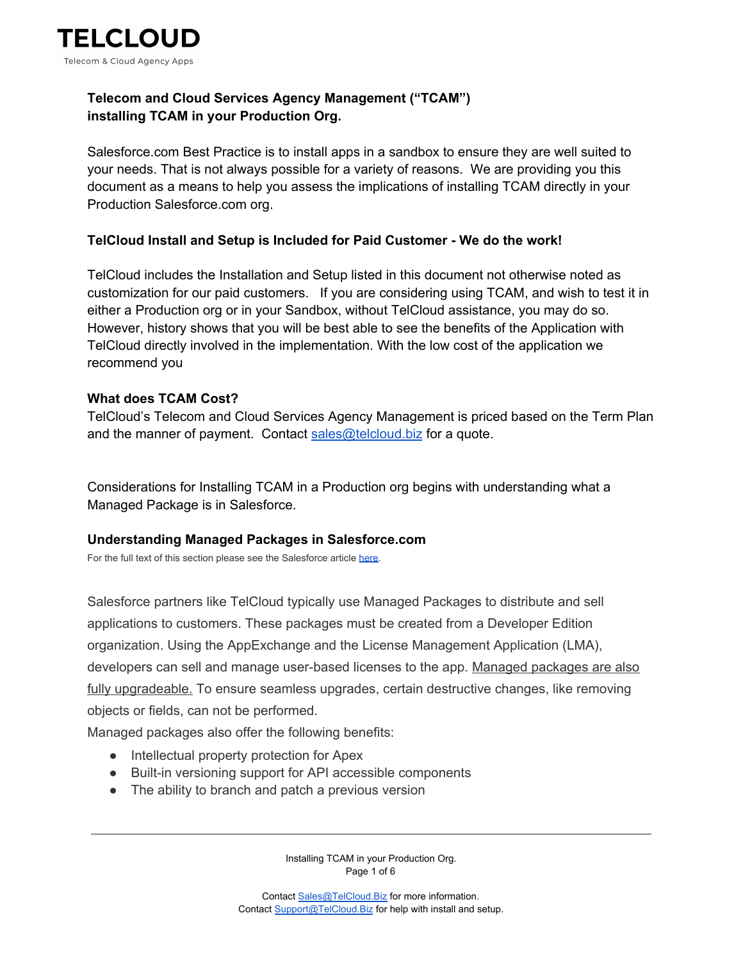

# **Telecom and Cloud Services Agency Management ("TCAM") installing TCAM in your Production Org.**

Salesforce.com Best Practice is to install apps in a sandbox to ensure they are well suited to your needs. That is not always possible for a variety of reasons. We are providing you this document as a means to help you assess the implications of installing TCAM directly in your Production Salesforce.com org.

### **TelCloud Install and Setup is Included for Paid Customer - We do the work!**

TelCloud includes the Installation and Setup listed in this document not otherwise noted as customization for our paid customers. If you are considering using TCAM, and wish to test it in either a Production org or in your Sandbox, without TelCloud assistance, you may do so. However, history shows that you will be best able to see the benefits of the Application with TelCloud directly involved in the implementation. With the low cost of the application we recommend you

## **What does TCAM Cost?**

TelCloud's Telecom and Cloud Services Agency Management is priced based on the Term Plan and the manner of payment. Contact [sales@telcloud.biz](mailto:sales@telcloud.biz) for a quote.

Considerations for Installing TCAM in a Production org begins with understanding what a Managed Package is in Salesforce.

### **Understanding Managed Packages in Salesforce.com**

For the full text of this section please see the Salesforce article [here.](https://help.salesforce.com/articleView?id=sharing_apps.htm&type=5)

Salesforce partners like TelCloud typically use Managed Packages to distribute and sell applications to customers. These packages must be created from a Developer Edition organization. Using the AppExchange and the License Management Application (LMA), developers can sell and manage user-based licenses to the app. Managed packages are also fully upgradeable. To ensure seamless upgrades, certain destructive changes, like removing objects or fields, can not be performed.

Managed packages also offer the following benefits:

- Intellectual property protection for Apex
- Built-in versioning support for API accessible components
- The ability to branch and patch a previous version

Installing TCAM in your Production Org. Page 1 of 6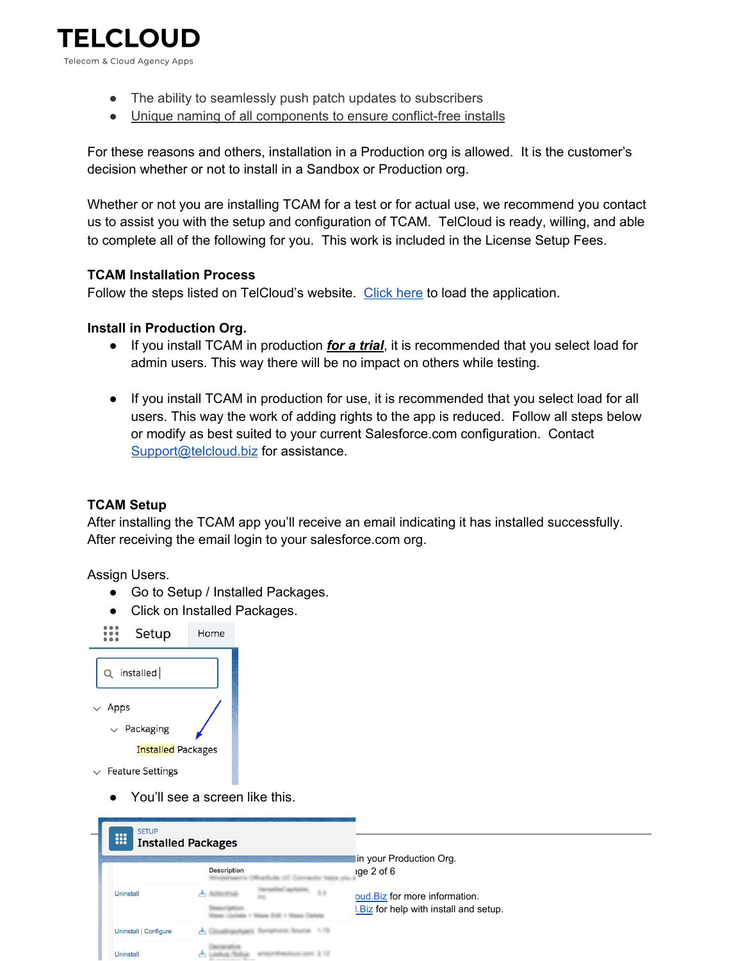

- The ability to seamlessly push patch updates to subscribers
- Unique naming of all components to ensure conflict-free installs

For these reasons and others, installation in a Production org is allowed. It is the customer's decision whether or not to install in a Sandbox or Production org.

Whether or not you are installing TCAM for a test or for actual use, we recommend you contact us to assist you with the setup and configuration of TCAM. TelCloud is ready, willing, and able to complete all of the following for you. This work is included in the License Setup Fees.

## **TCAM Installation Process**

Follow the steps listed on TelCloud's website. [Click](https://www.telcloudllc.com/install-tcam) here to load the application.

## **Install in Production Org.**

- If you install TCAM in production *for a trial*, it is recommended that you select load for admin users. This way there will be no impact on others while testing.
- If you install TCAM in production for use, it is recommended that you select load for all users. This way the work of adding rights to the app is reduced. Follow all steps below or modify as best suited to your current Salesforce.com configuration. Contact [Support@telcloud.biz](mailto:Support@telcloud.biz) for assistance.

### **TCAM Setup**

After installing the TCAM app you'll receive an email indicating it has installed successfully. After receiving the email login to your salesforce.com org.

Assign Users.

- Go to Setup / Installed Packages.
- Click on Installed Packages.

| Setup                     | Home |
|---------------------------|------|
| Q installed               |      |
| $\vee$ Apps               |      |
| $\vee$ Packaging          |      |
| <b>Installed Packages</b> |      |
| <b>Feature Settings</b>   |      |

● You'll see a screen like this.

P

| <b>SETUP</b><br>88    | <b>Installed Packages</b> |                                                                           |
|-----------------------|---------------------------|---------------------------------------------------------------------------|
|                       | <b>Description</b>        | in your Production Org.<br>ige 2 of 6                                     |
| Uninstall             | 53                        | oud. Biz for more information.<br>I. Biz for help with install and setup. |
| Uninstall   Configure |                           |                                                                           |
| <b>Uninstall</b>      |                           |                                                                           |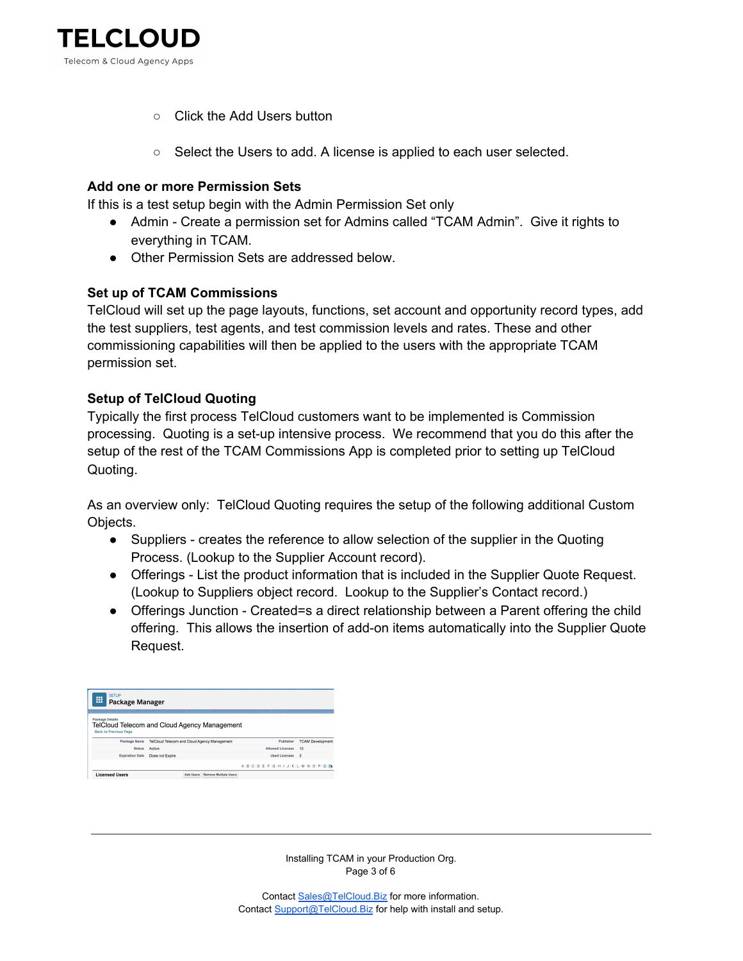

- Click the Add Users button
- Select the Users to add. A license is applied to each user selected.

#### **Add one or more Permission Sets**

If this is a test setup begin with the Admin Permission Set only

- Admin Create a permission set for Admins called "TCAM Admin". Give it rights to everything in TCAM.
- Other Permission Sets are addressed below.

### **Set up of TCAM Commissions**

TelCloud will set up the page layouts, functions, set account and opportunity record types, add the test suppliers, test agents, and test commission levels and rates. These and other commissioning capabilities will then be applied to the users with the appropriate TCAM permission set.

#### **Setup of TelCloud Quoting**

Typically the first process TelCloud customers want to be implemented is Commission processing. Quoting is a set-up intensive process. We recommend that you do this after the setup of the rest of the TCAM Commissions App is completed prior to setting up TelCloud Quoting.

As an overview only: TelCloud Quoting requires the setup of the following additional Custom Objects.

- Suppliers creates the reference to allow selection of the supplier in the Quoting Process. (Lookup to the Supplier Account record).
- Offerings List the product information that is included in the Supplier Quote Request. (Lookup to Suppliers object record. Lookup to the Supplier's Contact record.)
- Offerings Junction Created=s a direct relationship between a Parent offering the child offering. This allows the insertion of add-on items automatically into the Supplier Quote Request.

| <b>SETUP</b><br>▦<br><b>Package Manager</b>                            |                                              |  |  |  |                  |              |                                       |  |
|------------------------------------------------------------------------|----------------------------------------------|--|--|--|------------------|--------------|---------------------------------------|--|
| <b>Package Details</b><br>TelCloud Telecom and Cloud Agency Management |                                              |  |  |  |                  |              |                                       |  |
| <b>Back to Previous Page</b>                                           |                                              |  |  |  |                  |              |                                       |  |
| Package Name                                                           | TelCloud Telecom and Cloud Agency Management |  |  |  | Publisher        |              | <b>TCAM Development</b>               |  |
| <b>Status</b>                                                          | Active                                       |  |  |  | Allowed Licenses | 10           |                                       |  |
| <b>Expiration Date</b>                                                 | Does not Expire                              |  |  |  | Used Licenses    | $\mathbf{3}$ |                                       |  |
|                                                                        |                                              |  |  |  |                  |              | A B C D E F G H I J K L M N O P Q R : |  |

Installing TCAM in your Production Org. Page 3 of 6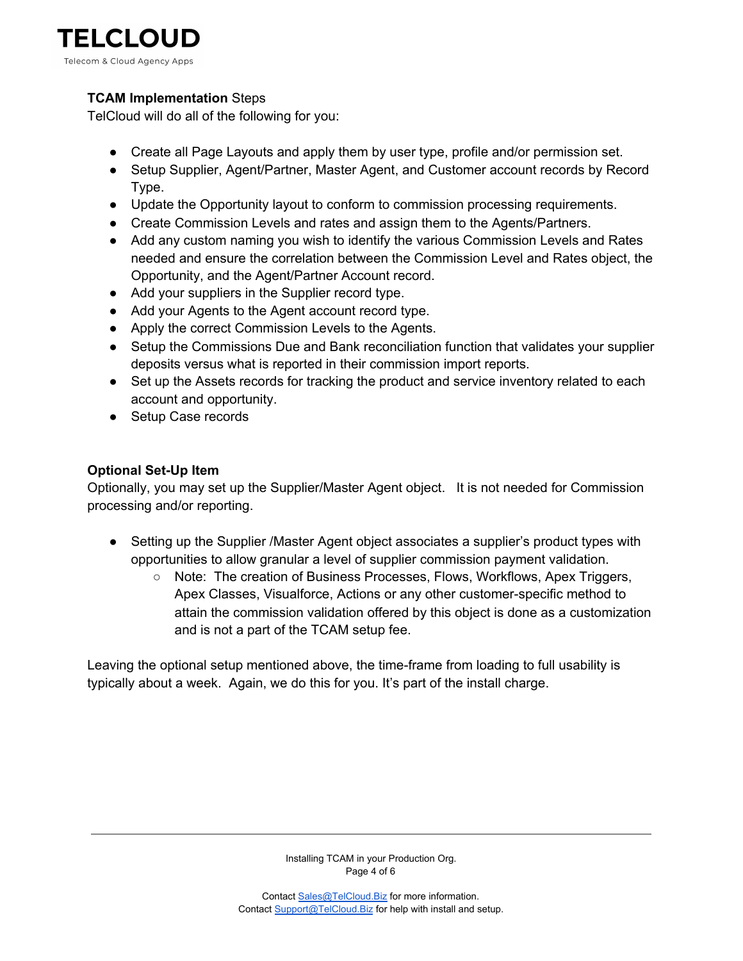

# **TCAM Implementation** Steps

TelCloud will do all of the following for you:

- Create all Page Layouts and apply them by user type, profile and/or permission set.
- Setup Supplier, Agent/Partner, Master Agent, and Customer account records by Record Type.
- Update the Opportunity layout to conform to commission processing requirements.
- Create Commission Levels and rates and assign them to the Agents/Partners.
- Add any custom naming you wish to identify the various Commission Levels and Rates needed and ensure the correlation between the Commission Level and Rates object, the Opportunity, and the Agent/Partner Account record.
- Add your suppliers in the Supplier record type.
- Add your Agents to the Agent account record type.
- Apply the correct Commission Levels to the Agents.
- Setup the Commissions Due and Bank reconciliation function that validates your supplier deposits versus what is reported in their commission import reports.
- Set up the Assets records for tracking the product and service inventory related to each account and opportunity.
- Setup Case records

# **Optional Set-Up Item**

Optionally, you may set up the Supplier/Master Agent object. It is not needed for Commission processing and/or reporting.

- Setting up the Supplier /Master Agent object associates a supplier's product types with opportunities to allow granular a level of supplier commission payment validation.
	- Note: The creation of Business Processes, Flows, Workflows, Apex Triggers, Apex Classes, Visualforce, Actions or any other customer-specific method to attain the commission validation offered by this object is done as a customization and is not a part of the TCAM setup fee.

Leaving the optional setup mentioned above, the time-frame from loading to full usability is typically about a week. Again, we do this for you. It's part of the install charge.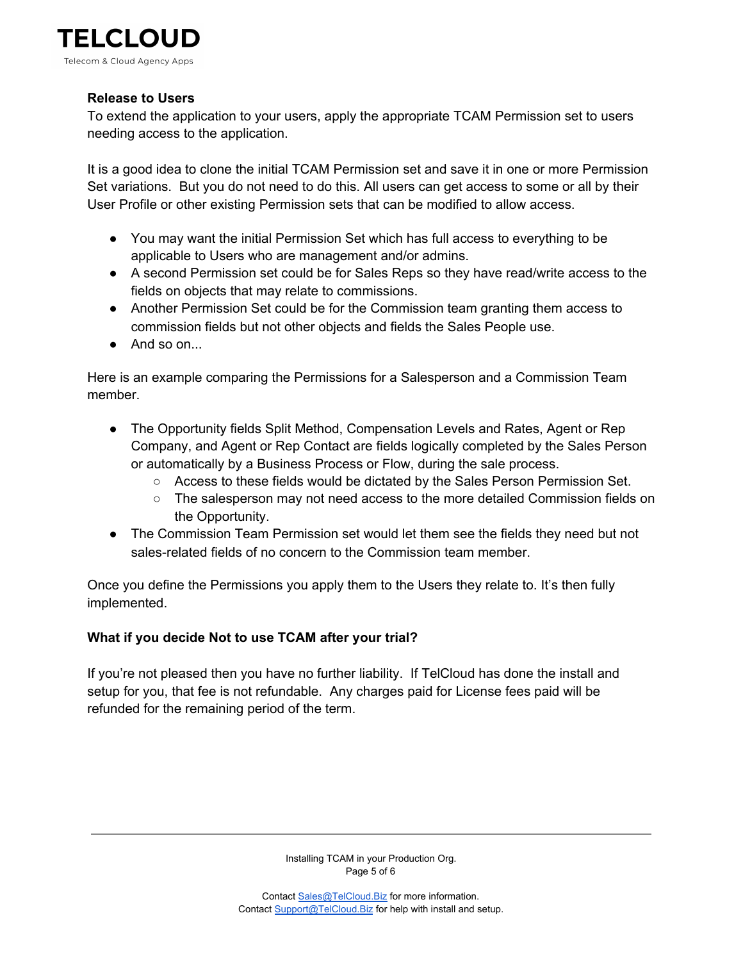

## **Release to Users**

To extend the application to your users, apply the appropriate TCAM Permission set to users needing access to the application.

It is a good idea to clone the initial TCAM Permission set and save it in one or more Permission Set variations. But you do not need to do this. All users can get access to some or all by their User Profile or other existing Permission sets that can be modified to allow access.

- You may want the initial Permission Set which has full access to everything to be applicable to Users who are management and/or admins.
- A second Permission set could be for Sales Reps so they have read/write access to the fields on objects that may relate to commissions.
- Another Permission Set could be for the Commission team granting them access to commission fields but not other objects and fields the Sales People use.
- And so on...

Here is an example comparing the Permissions for a Salesperson and a Commission Team member.

- The Opportunity fields Split Method, Compensation Levels and Rates, Agent or Rep Company, and Agent or Rep Contact are fields logically completed by the Sales Person or automatically by a Business Process or Flow, during the sale process.
	- Access to these fields would be dictated by the Sales Person Permission Set.
	- The salesperson may not need access to the more detailed Commission fields on the Opportunity.
- The Commission Team Permission set would let them see the fields they need but not sales-related fields of no concern to the Commission team member.

Once you define the Permissions you apply them to the Users they relate to. It's then fully implemented.

# **What if you decide Not to use TCAM after your trial?**

If you're not pleased then you have no further liability. If TelCloud has done the install and setup for you, that fee is not refundable. Any charges paid for License fees paid will be refunded for the remaining period of the term.